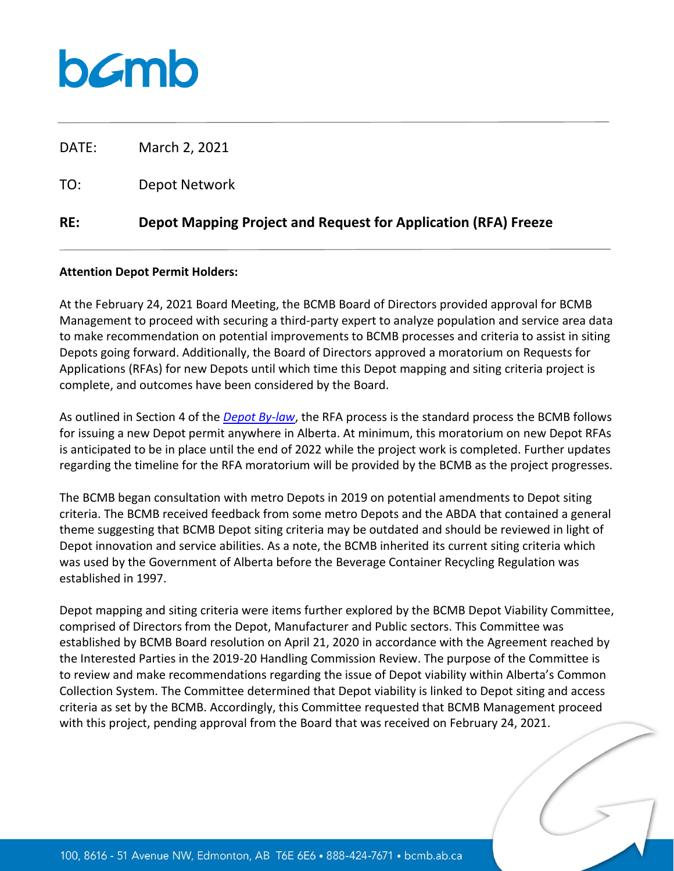## bamb

DATE: March 2, 2021

TO: Depot Network

## **RE: Depot Mapping Project and Request for Application (RFA) Freeze**

## **Attention Depot Permit Holders:**

At the February 24, 2021 Board Meeting, the BCMB Board of Directors provided approval for BCMB Management to proceed with securing a third-party expert to analyze population and service area data to make recommendation on potential improvements to BCMB processes and criteria to assist in siting Depots going forward. Additionally, the Board of Directors approved a moratorium on Requests for Applications (RFAs) for new Depots until which time this Depot mapping and siting criteria project is complete, and outcomes have been considered by the Board.

As outlined in Section 4 of the *[Depot By-law](https://www.bcmb.ab.ca/about/governing-documents/)*, the RFA process is the standard process the BCMB follows for issuing a new Depot permit anywhere in Alberta. At minimum, this moratorium on new Depot RFAs is anticipated to be in place until the end of 2022 while the project work is completed. Further updates regarding the timeline for the RFA moratorium will be provided by the BCMB as the project progresses.

The BCMB began consultation with metro Depots in 2019 on potential amendments to Depot siting criteria. The BCMB received feedback from some metro Depots and the ABDA that contained a general theme suggesting that BCMB Depot siting criteria may be outdated and should be reviewed in light of Depot innovation and service abilities. As a note, the BCMB inherited its current siting criteria which was used by the Government of Alberta before the Beverage Container Recycling Regulation was established in 1997.

Depot mapping and siting criteria were items further explored by the BCMB Depot Viability Committee, comprised of Directors from the Depot, Manufacturer and Public sectors. This Committee was established by BCMB Board resolution on April 21, 2020 in accordance with the Agreement reached by the Interested Parties in the 2019-20 Handling Commission Review. The purpose of the Committee is to review and make recommendations regarding the issue of Depot viability within Alberta's Common Collection System. The Committee determined that Depot viability is linked to Depot siting and access criteria as set by the BCMB. Accordingly, this Committee requested that BCMB Management proceed with this project, pending approval from the Board that was received on February 24, 2021.